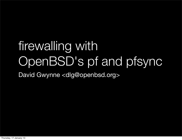# firewalling with OpenBSD's pf and pfsync

David Gwynne <dlg@openbsd.org>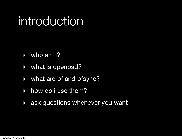## introduction

- $\rightarrow$  who am i?
- ‣ what is openbsd?
- ‣ what are pf and pfsync?
- how do i use them?
- **Allectuary 2015 in the Vietnian State Service State State State State State State State State State State State State State State State State State State State State State State State State State 30 and State State State**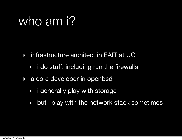## who am i?

- ‣ infrastructure architect in EAIT at UQ
	- $\rightarrow$  i do stuff, including run the firewalls
- ‣ a core developer in openbsd
	- ‣ i generally play with storage
	- ‣ but i play with the network stack sometimes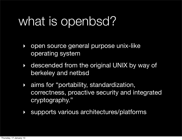- ‣ open source general purpose unix-like operating system
- ‣ descended from the original UNIX by way of berkeley and netbsd
- ‣ aims for "portability, standardization, correctness, proactive security and integrated cryptography."
- ‣ supports various architectures/platforms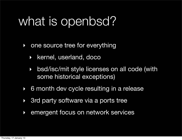- ‣ one source tree for everything
	- ‣ kernel, userland, doco
	- ‣ bsd/isc/mit style licenses on all code (with some historical exceptions)
- ‣ 6 month dev cycle resulting in a release
- ▶ 3rd party software via a ports tree
- ‣ emergent focus on network services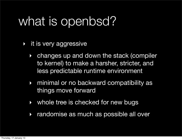- ‣ it is very aggressive
	- ‣ changes up and down the stack (compiler to kernel) to make a harsher, stricter, and less predictable runtime environment
	- ‣ minimal or no backward compatibility as things move forward
	- ‣ whole tree is checked for new bugs
	- ‣ randomise as much as possible all over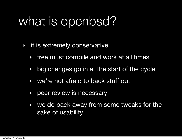- ‣ it is extremely conservative
	- ‣ tree must compile and work at all times
	- ‣ big changes go in at the start of the cycle
	- ‣ we're not afraid to back stuff out
	- ‣ peer review is necessary
	- ‣ we do back away from some tweaks for the sake of usability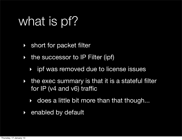#### what is pf?

- ‣ short for packet filter
- ‣ the successor to IP Filter (ipf)
	- ‣ ipf was removed due to license issues
- ‣ the exec summary is that it is a stateful filter for IP (v4 and v6) traffic
	- ‣ does a little bit more than that though...
- ‣ enabled by default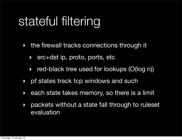### stateful filtering

- ‣ the firewall tracks connections through it
	- ‣ src+dst ip, proto, ports, etc
	- ‣ red-black tree used for lookups (O(log n))
- ‣ pf states track tcp windows and such
- ‣ each state takes memory, so there is a limit
- ‣ packets without a state fall through to ruleset evaluation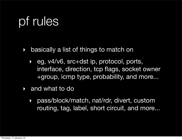## pf rules

- ‣ basically a list of things to match on
	- ‣ eg, v4/v6, src+dst ip, protocol, ports, interface, direction, tcp flags, socket owner +group, icmp type, probability, and more...
- and what to do
	- ‣ pass/block/match, nat/rdr, divert, custom routing, tag, label, short circuit, and more...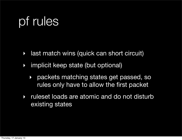## pf rules

- ‣ last match wins (quick can short circuit)
- ‣ implicit keep state (but optional)
	- ‣ packets matching states get passed, so rules only have to allow the first packet
- ‣ ruleset loads are atomic and do not disturb existing states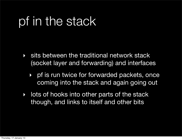### pf in the stack

- ‣ sits between the traditional network stack (socket layer and forwarding) and interfaces
	- ‣ pf is run twice for forwarded packets, once coming into the stack and again going out
- **Intervalle Set into other parts of the stack** though, and links to itself and other bits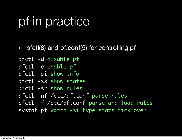## pf in practice

‣ pfctl(8) and pf.conf(5) for controlling pf

pfctl -d disable pf

pfctl -e enable pf

pfctl -si show info

pfctl -ss show states

pfctl -sr show rules

pfctl -nf /etc/pf.conf parse rules

pfctl -f /etc/pf.conf parse and load rules

systat pf watch -si type stats tick over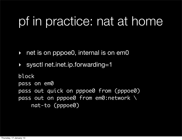### pf in practice: nat at home

- ‣ net is on pppoe0, internal is on em0
- ‣ sysctl net.inet.ip.forwarding=1

block pass on em0 pass out quick on pppoe0 from (pppoe0) pass out on pppoe0 from em0:network \ nat-to (pppoe0)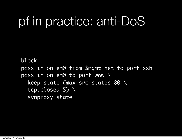#### pf in practice: anti-DoS

block pass in on em0 from \$mgmt\_net to port ssh pass in on em0 to port www  $\setminus$  keep state (max-src-states 80 \ tcp.closed 5) \ synproxy state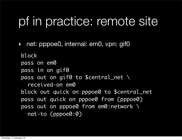### pf in practice: remote site

‣ net: pppoe0, internal: em0, vpn: gif0

block pass on em0 pass in on gif0 pass out on gif0 to \$central\_net \ received-on em0 block out quick on pppoe0 to \$central\_net pass out quick on pppoe0 from (pppoe0) pass out on pppoe0 from em0:network \ nat-to (pppoe0:0)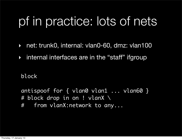### pf in practice: lots of nets

- ‣ net: trunk0, internal: vlan0-60, dmz: vlan100
- ‣ internal interfaces are in the "staff" ifgroup

block

antispoof for  $\{$  vlan0 vlan1 ... vlan60  $\}$ # block drop in on ! vlanX \

# from vlanX:network to any...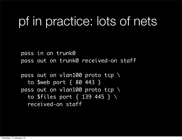#### pf in practice: lots of nets

pass in on trunk0 pass out on trunk0 received-on staff

pass out on vlan100 proto tcp \ to \$web port { 80 443 } pass out on vlan100 proto tcp \ to \$files port { 139 445 } \ received-on staff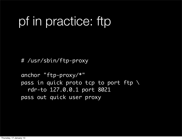## pf in practice: ftp

# /usr/sbin/ftp-proxy

```
anchor "ftp-proxy/*"
pass in quick proto tcp to port ftp \
   rdr-to 127.0.0.1 port 8021
pass out quick user proxy
```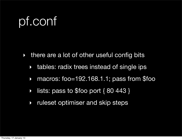## pf.conf

- ‣ there are a lot of other useful config bits
	- ‣ tables: radix trees instead of single ips
	- ‣ macros: foo=192.168.1.1; pass from \$foo
	- ‣ lists: pass to \$foo port { 80 443 }
	- ‣ ruleset optimiser and skip steps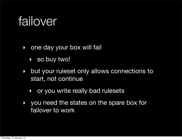### failover

- ‣ one day your box will fail
	- ‣ so buy two!
- ‣ but your ruleset only allows connections to start, not continue
	- ‣ or you write really bad rulesets
- ‣ you need the states on the spare box for failover to work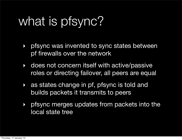## what is pfsync?

- **If pfsync was invented to sync states between** pf firewalls over the network
- ‣ does not concern itself with active/passive roles or directing failover, all peers are equal
- ‣ as states change in pf, pfsync is told and builds packets it transmits to peers
- ‣ pfsync merges updates from packets into the local state tree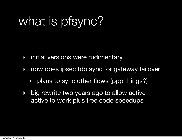## what is pfsync?

- ‣ initial versions were rudimentary
- ‣ now does ipsec tdb sync for gateway failover
	- ‣ plans to sync other flows (ppp things?)
- ‣ big rewrite two years ago to allow activeactive to work plus free code speedups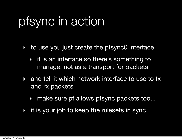## pfsync in action

- ‣ to use you just create the pfsync0 interface
	- ‣ it is an interface so there's something to manage, not as a transport for packets
- and tell it which network interface to use to tx and rx packets
	- ‣ make sure pf allows pfsync packets too...
- it is your job to keep the rulesets in sync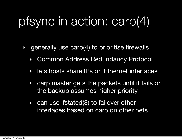## pfsync in action: carp(4)

- ‣ generally use carp(4) to prioritise firewalls
	- ‣ Common Address Redundancy Protocol
	- ‣ lets hosts share IPs on Ethernet interfaces
	- ‣ carp master gets the packets until it fails or the backup assumes higher priority
	- ‣ can use ifstated(8) to failover other interfaces based on carp on other nets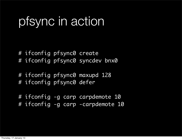### pfsync in action

# ifconfig pfsync0 create # ifconfig pfsync0 syncdev bnx0

# ifconfig pfsync0 maxupd 128 # ifconfig pfsync0 defer

# ifconfig -g carp carpdemote 10 # ifconfig -g carp -carpdemote 10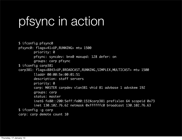### pfsync in action

\$ ifconfig pfsync0 pfsync0: flags=41<UP,RUNNING> mtu 1500 priority: 0 pfsync: syncdev: bnx0 maxupd: 128 defer: on groups: carp pfsync \$ ifconfig carp381 carp381: flags=8843<UP,BROADCAST,RUNNING,SIMPLEX,MULTICAST> mtu 1500 lladdr 00:00:5e:00:01:51 description: staff servers priority: 0 carp: MASTER carpdev vlan381 vhid 81 advbase 1 advskew 192 groups: carp status: master inet6 fe80::200:5eff:fe00:151%carp381 prefixlen 64 scopeid 0x73 inet 130.102.76.62 netmask 0xffffffc0 broadcast 130.102.76.63 \$ ifconfig -g carp carp: carp demote count 10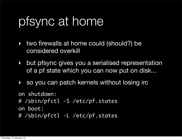#### pfsync at home

- ‣ two firewalls at home could (should?) be considered overkill
- ‣ but pfsync gives you a serialised representation of a pf state which you can now put on disk...
- ‣ so you can patch kernels without losing irc

```
on shutdown:
# /sbin/pfctl -S /etc/pf.states
on boot:
# /sbin/pfctl -L /etc/pf.states
```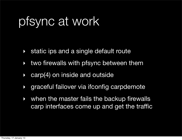### pfsync at work

- static ips and a single default route
- ‣ two firewalls with pfsync between them
- **Earp(4) on inside and outside**
- ‣ graceful failover via ifconfig carpdemote
- when the master fails the backup firewalls carp interfaces come up and get the traffic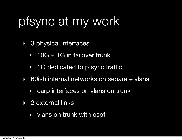### pfsync at my work

- ‣ 3 physical interfaces
	- $\rightarrow$  10G + 1G in failover trunk
	- ‣ 1G dedicated to pfsync traffic
- ‣ 60ish internal networks on separate vlans
	- ‣ carp interfaces on vlans on trunk
- ‣ 2 external links
	- ‣ vlans on trunk with ospf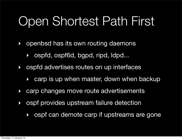## Open Shortest Path First

- ‣ openbsd has its own routing daemons
	- ‣ ospfd, ospf6d, bgpd, ripd, ldpd...
- ‣ ospfd advertises routes on up interfaces
	- ‣ carp is up when master, down when backup
- ‣ carp changes move route advertisements
- ‣ ospf provides upstream failure detection
	- ‣ ospf can demote carp if upstreams are gone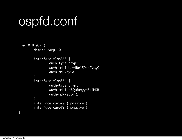#### ospfd.conf

```
area 0.0.0.2 {
         demote carp 10
         interface vlan363 {
                  auth-type crypt
                  auth-md 1 Ust4ReJ59dnAVogG
                  auth-md-keyid 1
         }
         interface vlan364 {
                  auth-type crypt
                  auth-md 1 r5Sy6ubyyHZaiMDB
                  auth-md-keyid 1
         }
         interface carp70 { passive }
         interface carp72 { passive }
}
```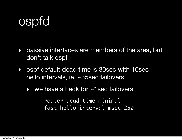### **ospfd**

- ‣ passive interfaces are members of the area, but don't talk ospf
- ‣ ospf default dead time is 30sec with 10sec hello intervals, ie, ~35sec failovers
	- ▶ we have a hack for ~1sec failovers

 router-dead-time minimal fast-hello-interval msec 250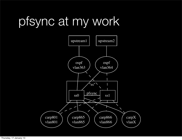## pfsync at my work

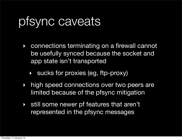#### pfsync caveats

- ‣ connections terminating on a firewall cannot be usefully synced because the socket and app state isn't transported
	- ‣ sucks for proxies (eg, ftp-proxy)
- high speed connections over two peers are limited because of the pfsync mitigation
- ‣ still some newer pf features that aren't represented in the pfsync messages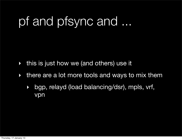## pf and pfsync and ...

- ‣ this is just how we (and others) use it
- ‣ there are a lot more tools and ways to mix them
	- ‣ bgp, relayd (load balancing/dsr), mpls, vrf, vpn